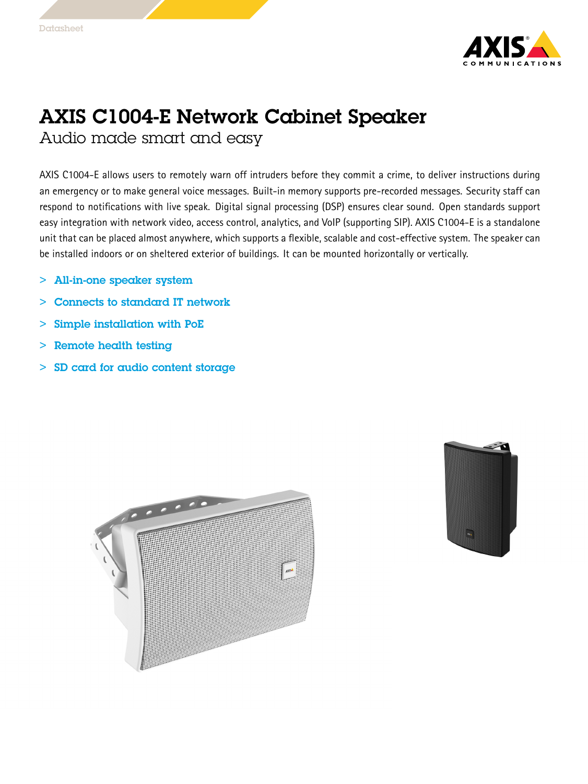

## AXIS C1004-E Network Cabinet Speaker Audio made smart and easy

AXIS C1004-E allows users to remotely warn off intruders before they commit <sup>a</sup> crime, to deliver instructions during an emergency or to make general voice messages. Built-in memory supports pre-recorded messages. Security staff can respond to notifications with live speak. Digital signal processing (DSP) ensures clear sound. Open standards support easy integration with network video, access control, analytics, and VoIP (supporting SIP). AXIS C1004-E is <sup>a</sup> standalone unit that can be placed almost anywhere, which supports <sup>a</sup> flexible, scalable and cost-effective system. The speaker can be installed indoors or on sheltered exterior of buildings. It can be mounted horizontally or vertically.

- $\geq$ All-in-one speaker system
- $>$ Connects to standard IT network
- >Simple installation with PoE
- >Remote health testing
- > SD card for audio content storage